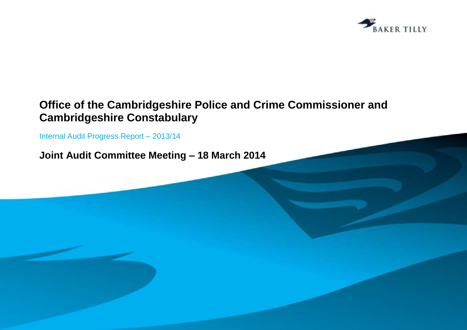

# **Office of the Cambridgeshire Police and Crime Commissioner and Cambridgeshire Constabulary**

Internal Audit Progress Report – 2013/14

**Joint Audit Committee Meeting – 18 March 2014**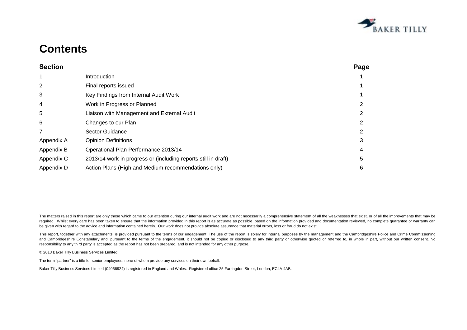

# **Contents**

| <b>Section</b> |                                                                | Page |
|----------------|----------------------------------------------------------------|------|
| 1              | Introduction                                                   |      |
| 2              | Final reports issued                                           |      |
| 3              | Key Findings from Internal Audit Work                          |      |
| 4              | Work in Progress or Planned                                    |      |
| 5              | Liaison with Management and External Audit                     |      |
| 6              | Changes to our Plan                                            |      |
|                | Sector Guidance                                                |      |
| Appendix A     | <b>Opinion Definitions</b>                                     |      |
| Appendix B     | Operational Plan Performance 2013/14                           |      |
| Appendix C     | 2013/14 work in progress or (including reports still in draft) | 5    |
| Appendix D     | Action Plans (High and Medium recommendations only)            | 6    |

The matters raised in this report are only those which came to our attention during our internal audit work and are not necessarily a comprehensive statement of all the weaknesses that exist, or of all the improvements tha required. Whilst every care has been taken to ensure that the information provided in this report is as accurate as possible, based on the information provided and documentation reviewed, no complete guarantee or warranty be given with regard to the advice and information contained herein. Our work does not provide absolute assurance that material errors, loss or fraud do not exist.

This report, together with any attachments, is provided pursuant to the terms of our engagement. The use of the report is solely for internal purposes by the management and the Cambridgeshire Police and Crime Commissioning and Cambridgeshire Constabulary and, pursuant to the terms of the engagement, it should not be copied or disclosed to any third party or otherwise quoted or referred to, in whole in part, without our written consent. No responsibility to any third party is accepted as the report has not been prepared, and is not intended for any other purpose.

© 2013 Baker Tilly Business Services Limited

The term "partner" is a title for senior employees, none of whom provide any services on their own behalf.

Baker Tilly Business Services Limited (04066924) is registered in England and Wales. Registered office 25 Farringdon Street, London, EC4A 4AB.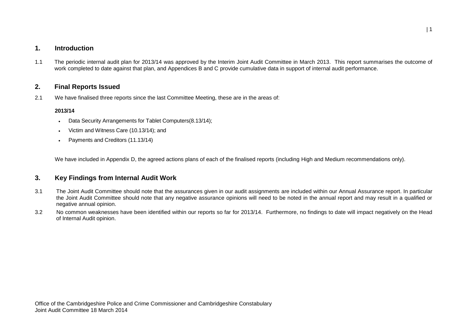## **1. Introduction**

1.1 The periodic internal audit plan for 2013/14 was approved by the Interim Joint Audit Committee in March 2013. This report summarises the outcome of work completed to date against that plan, and Appendices B and C provide cumulative data in support of internal audit performance.

### **2. Final Reports Issued**

2.1 We have finalised three reports since the last Committee Meeting, these are in the areas of:

### **2013/14**

- Data Security Arrangements for Tablet Computers(8.13/14);
- Victim and Witness Care (10.13/14); and
- Payments and Creditors (11.13/14)

We have included in Appendix D, the agreed actions plans of each of the finalised reports (including High and Medium recommendations only).

## **3. Key Findings from Internal Audit Work**

- 3.1 The Joint Audit Committee should note that the assurances given in our audit assignments are included within our Annual Assurance report. In particular the Joint Audit Committee should note that any negative assurance opinions will need to be noted in the annual report and may result in a qualified or negative annual opinion.
- 3.2 No common weaknesses have been identified within our reports so far for 2013/14. Furthermore, no findings to date will impact negatively on the Head of Internal Audit opinion.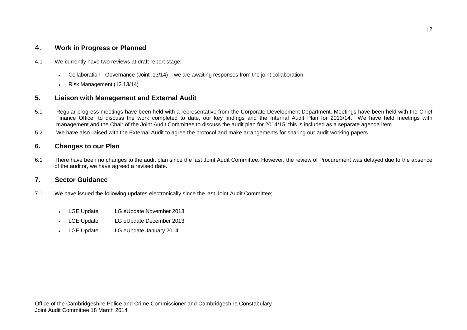## 4. **Work in Progress or Planned**

- 4.1 We currently have two reviews at draft report stage:
	- Collaboration Governance (Joint .13/14) we are awaiting responses from the joint collaboration.
	- Risk Management (12.13/14)

## **5. Liaison with Management and External Audit**

- 5.1 Regular progress meetings have been held with a representative from the Corporate Development Department. Meetings have been held with the Chief Finance Officer to discuss the work completed to date, our key findings and the Internal Audit Plan for 2013/14. We have held meetings with management and the Chair of the Joint Audit Committee to discuss the audit plan for 2014/15, this is included as a separate agenda item.
- 5.2 We have also liaised with the External Audit to agree the protocol and make arrangements for sharing our audit working papers.

### **6. Changes to our Plan**

6.1 There have been no changes to the audit plan since the last Joint Audit Committee. However, the review of Procurement was delayed due to the absence of the auditor, we have agreed a revised date.

### **7. Sector Guidance**

- 7.1 We have issued the following updates electronically since the last Joint Audit Committee;
	- LGE Update LG eUpdate November 2013
	- LGE Update LG eUpdate December 2013
	- LGE Update LG eUpdate January 2014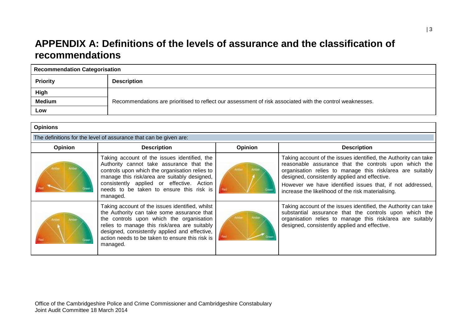## **APPENDIX A: Definitions of the levels of assurance and the classification of recommendations**

| <b>Recommendation Categorisation</b> |                                                                                                           |  |  |  |  |  |
|--------------------------------------|-----------------------------------------------------------------------------------------------------------|--|--|--|--|--|
| <b>Priority</b>                      | <b>Description</b>                                                                                        |  |  |  |  |  |
| High                                 |                                                                                                           |  |  |  |  |  |
| <b>Medium</b>                        | Recommendations are prioritised to reflect our assessment of risk associated with the control weaknesses. |  |  |  |  |  |
| Low                                  |                                                                                                           |  |  |  |  |  |

| <b>Opinions</b>                                                   |                                                                                                                                                                                                                                                                                                           |         |                                                                                                                                                                                                                                                                                                                                                           |  |  |  |  |  |
|-------------------------------------------------------------------|-----------------------------------------------------------------------------------------------------------------------------------------------------------------------------------------------------------------------------------------------------------------------------------------------------------|---------|-----------------------------------------------------------------------------------------------------------------------------------------------------------------------------------------------------------------------------------------------------------------------------------------------------------------------------------------------------------|--|--|--|--|--|
| The definitions for the level of assurance that can be given are: |                                                                                                                                                                                                                                                                                                           |         |                                                                                                                                                                                                                                                                                                                                                           |  |  |  |  |  |
| <b>Opinion</b>                                                    | <b>Description</b>                                                                                                                                                                                                                                                                                        | Opinion | <b>Description</b>                                                                                                                                                                                                                                                                                                                                        |  |  |  |  |  |
|                                                                   | Taking account of the issues identified, the<br>Authority cannot take assurance that the<br>controls upon which the organisation relies to<br>manage this risk/area are suitably designed,<br>consistently applied or effective. Action<br>needs to be taken to ensure this risk is<br>managed.           |         | Taking account of the issues identified, the Authority can take<br>reasonable assurance that the controls upon which the<br>organisation relies to manage this risk/area are suitably<br>designed, consistently applied and effective.<br>However we have identified issues that, if not addressed,<br>increase the likelihood of the risk materialising. |  |  |  |  |  |
|                                                                   | Taking account of the issues identified, whilst<br>the Authority can take some assurance that<br>the controls upon which the organisation<br>relies to manage this risk/area are suitably<br>designed, consistently applied and effective,<br>action needs to be taken to ensure this risk is<br>managed. |         | Taking account of the issues identified, the Authority can take<br>substantial assurance that the controls upon which the<br>organisation relies to manage this risk/area are suitably<br>designed, consistently applied and effective.                                                                                                                   |  |  |  |  |  |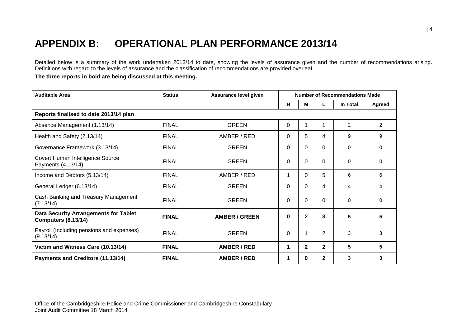# **APPENDIX B: OPERATIONAL PLAN PERFORMANCE 2013/14**

Detailed below is a summary of the work undertaken 2013/14 to date, showing the levels of assurance given and the number of recommendations arising. Definitions with regard to the levels of assurance and the classification of recommendations are provided overleaf.

**The three reports in bold are being discussed at this meeting.**

| <b>Auditable Area</b>                                                      | <b>Status</b> | Assurance level given | <b>Number of Recommendations Made</b> |              |                |                |                |
|----------------------------------------------------------------------------|---------------|-----------------------|---------------------------------------|--------------|----------------|----------------|----------------|
|                                                                            |               |                       | H                                     | М            | L              | In Total       | Agreed         |
| Reports finalised to date 2013/14 plan                                     |               |                       |                                       |              |                |                |                |
| Absence Management (1.13/14)                                               | <b>FINAL</b>  | <b>GREEN</b>          | 0                                     | 1            | 1              | $\overline{2}$ | $\overline{2}$ |
| Health and Safety (2.13/14)                                                | <b>FINAL</b>  | AMBER / RED           | 0                                     | 5            | 4              | 9              | 9              |
| Governance Framework (3.13/14)                                             | <b>FINAL</b>  | <b>GREEN</b>          | 0                                     | 0            | $\Omega$       | $\mathbf{0}$   | $\Omega$       |
| Covert Human Intelligence Source<br>Payments (4.13/14)                     | <b>FINAL</b>  | <b>GREEN</b>          | $\Omega$                              | 0            | $\Omega$       | $\Omega$       | $\Omega$       |
| Income and Debtors (5.13/14)                                               | <b>FINAL</b>  | AMBER / RED           | 1                                     | 0            | 5              | 6              | 6              |
| General Ledger (6.13/14)                                                   | <b>FINAL</b>  | <b>GREEN</b>          | 0                                     | 0            | 4              | 4              | 4              |
| Cash Banking and Treasury Management<br>(7.13/14)                          | <b>FINAL</b>  | <b>GREEN</b>          | 0                                     | 0            | 0              | $\Omega$       | $\Omega$       |
| <b>Data Security Arrangements for Tablet</b><br><b>Computers (8.13/14)</b> | <b>FINAL</b>  | <b>AMBER / GREEN</b>  | 0                                     | $\mathbf{2}$ | 3              | 5              | 5              |
| Payroll (Including pensions and expenses)<br>(9.13/14)                     | <b>FINAL</b>  | <b>GREEN</b>          | 0                                     | 1            | $\overline{2}$ | 3              | 3              |
| Victim and Witness Care (10.13/14)                                         | <b>FINAL</b>  | <b>AMBER / RED</b>    | 1                                     | $\mathbf{2}$ | $\mathbf{2}$   | 5              | 5              |
| Payments and Creditors (11.13/14)                                          | <b>FINAL</b>  | <b>AMBER / RED</b>    | 1                                     | $\bf{0}$     | $\mathbf{2}$   | 3              | 3              |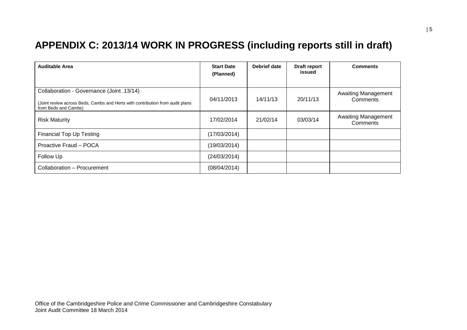# **APPENDIX C: 2013/14 WORK IN PROGRESS (including reports still in draft)**

| <b>Auditable Area</b>                                                                                                                              | <b>Start Date</b><br>(Planned) | Debrief date | Draft report<br>issued | <b>Comments</b>                        |
|----------------------------------------------------------------------------------------------------------------------------------------------------|--------------------------------|--------------|------------------------|----------------------------------------|
| Collaboration - Governance (Joint .13/14)<br>(Joint review across Beds, Cambs and Herts with contribution from audit plans<br>from Beds and Cambs) | 04/11/2013                     | 14/11/13     | 20/11/13               | <b>Awaiting Management</b><br>Comments |
| <b>Risk Maturity</b>                                                                                                                               | 17/02/2014                     | 21/02/14     | 03/03/14               | <b>Awaiting Management</b><br>Comments |
| <b>Financial Top Up Testing</b>                                                                                                                    | (17/03/2014)                   |              |                        |                                        |
| Proactive Fraud - POCA                                                                                                                             | (19/03/2014)                   |              |                        |                                        |
| Follow Up                                                                                                                                          | (24/03/2014)                   |              |                        |                                        |
| Collaboration - Procurement                                                                                                                        | (08/04/2014)                   |              |                        |                                        |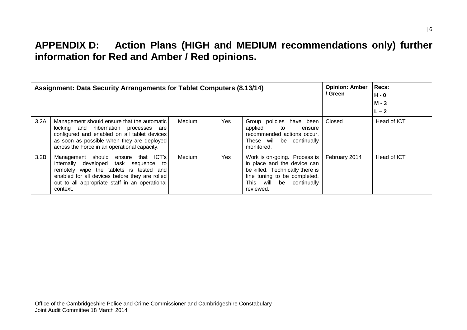# **APPENDIX D: Action Plans (HIGH and MEDIUM recommendations only) further information for Red and Amber / Red opinions.**

| <b>Assignment: Data Security Arrangements for Tablet Computers (8.13/14)</b> |                                                                                                                                                                                                                                            |        |            |                                                                                                                                                                               |               | <b>Recs:</b><br>H - 0<br>$M - 3$<br>$L - 2$ |
|------------------------------------------------------------------------------|--------------------------------------------------------------------------------------------------------------------------------------------------------------------------------------------------------------------------------------------|--------|------------|-------------------------------------------------------------------------------------------------------------------------------------------------------------------------------|---------------|---------------------------------------------|
| 3.2A                                                                         | Management should ensure that the automatic<br>locking and hibernation processes are<br>configured and enabled on all tablet devices<br>as soon as possible when they are deployed<br>across the Force in an operational capacity.         | Medium | <b>Yes</b> | Group policies have been<br>applied<br>to<br>ensure<br>recommended actions occur.<br>These will be continually<br>monitored.                                                  | Closed        | Head of ICT                                 |
| 3.2B                                                                         | ensure that ICT's<br>Management should<br>internally developed task sequence to<br>remotely wipe the tablets is tested and<br>enabled for all devices before they are rolled<br>out to all appropriate staff in an operational<br>context. | Medium | Yes        | Work is on-going. Process is<br>in place and the device can<br>be killed. Technically there is<br>fine tuning to be completed.<br>This will<br>be<br>continually<br>reviewed. | February 2014 | Head of ICT                                 |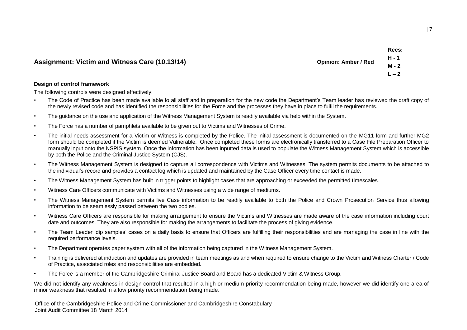|                                                       |                             | Recs:<br>$H - 1$        |
|-------------------------------------------------------|-----------------------------|-------------------------|
| <b>Assignment: Victim and Witness Care (10.13/14)</b> | <b>Opinion: Amber / Red</b> | $M - 2$<br>◠<br>$L - 2$ |
|                                                       |                             |                         |

### **Design of control framework**

The following controls were designed effectively:

- The Code of Practice has been made available to all staff and in preparation for the new code the Department's Team leader has reviewed the draft copy of the newly revised code and has identified the responsibilities for the Force and the processes they have in place to fulfil the requirements.
- The guidance on the use and application of the Witness Management System is readily available via help within the System.
- The Force has a number of pamphlets available to be given out to Victims and Witnesses of Crime.
- The initial needs assessment for a Victim or Witness is completed by the Police. The initial assessment is documented on the MG11 form and further MG2 form should be completed if the Victim is deemed Vulnerable. Once completed these forms are electronically transferred to a Case File Preparation Officer to manually input onto the NSPIS system. Once the information has been inputted data is used to populate the Witness Management System which is accessible by both the Police and the Criminal Justice System (CJS).
- The Witness Management System is designed to capture all correspondence with Victims and Witnesses. The system permits documents to be attached to the individual's record and provides a contact log which is updated and maintained by the Case Officer every time contact is made.
- The Witness Management System has built in trigger points to highlight cases that are approaching or exceeded the permitted timescales.
- Witness Care Officers communicate with Victims and Witnesses using a wide range of mediums.
- The Witness Management System permits live Case information to be readily available to both the Police and Crown Prosecution Service thus allowing information to be seamlessly passed between the two bodies.
- Witness Care Officers are responsible for making arrangement to ensure the Victims and Witnesses are made aware of the case information including court date and outcomes. They are also responsible for making the arrangements to facilitate the process of giving evidence.
- The Team Leader 'dip samples' cases on a daily basis to ensure that Officers are fulfilling their responsibilities and are managing the case in line with the required performance levels.
- The Department operates paper system with all of the information being captured in the Witness Management System.
- Training is delivered at induction and updates are provided in team meetings as and when required to ensure change to the Victim and Witness Charter / Code of Practice, associated roles and responsibilities are embedded.
- The Force is a member of the Cambridgeshire Criminal Justice Board and Board has a dedicated Victim & Witness Group.

We did not identify any weakness in design control that resulted in a high or medium priority recommendation being made, however we did identify one area of minor weakness that resulted in a low priority recommendation being made.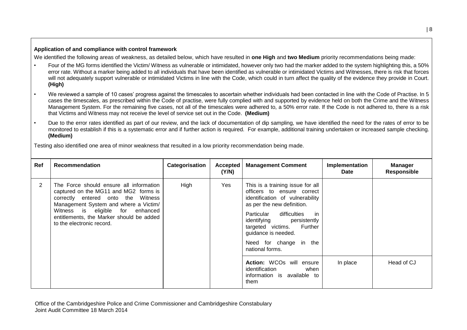### **Application of and compliance with control framework**

We identified the following areas of weakness, as detailed below, which have resulted in **one High** and **two Medium** priority recommendations being made:

- Four of the MG forms identified the Victim/ Witness as vulnerable or intimidated, however only two had the marker added to the system highlighting this, a 50% error rate. Without a marker being added to all individuals that have been identified as vulnerable or intimidated Victims and Witnesses, there is risk that forces will not adequately support vulnerable or intimidated Victims in line with the Code, which could in turn affect the quality of the evidence they provide in Court. **(High)**
- We reviewed a sample of 10 cases' progress against the timescales to ascertain whether individuals had been contacted in line with the Code of Practise. In 5 cases the timescales, as prescribed within the Code of practise, were fully complied with and supported by evidence held on both the Crime and the Witness Management System. For the remaining five cases, not all of the timescales were adhered to, a 50% error rate. If the Code is not adhered to, there is a risk that Victims and Witness may not receive the level of service set out in the Code. **(Medium)**
- Due to the error rates identified as part of our review, and the lack of documentation of dip sampling, we have identified the need for the rates of error to be monitored to establish if this is a systematic error and if further action is required. For example, additional training undertaken or increased sample checking. **(Medium)**

Testing also identified one area of minor weakness that resulted in a low priority recommendation being made.

| Ref | <b>Recommendation</b>                                                                                                                                                                                                                                                        | Categorisation | Accepted<br>(Y/N) | <b>Management Comment</b>                                                                                                                                                                                                                                                                           | Implementation<br><b>Date</b> | <b>Manager</b><br><b>Responsible</b> |
|-----|------------------------------------------------------------------------------------------------------------------------------------------------------------------------------------------------------------------------------------------------------------------------------|----------------|-------------------|-----------------------------------------------------------------------------------------------------------------------------------------------------------------------------------------------------------------------------------------------------------------------------------------------------|-------------------------------|--------------------------------------|
| 2   | The Force should ensure all information<br>captured on the MG11 and MG2 forms is<br>correctly entered onto the Witness<br>Management System and where a Victim/<br>Witness is eligible for enhanced<br>entitlements, the Marker should be added<br>to the electronic record. | High           | Yes               | This is a training issue for all<br>officers to ensure correct<br>identification of vulnerability<br>as per the new definition.<br>difficulties<br>in in<br>Particular<br>identifying persistently<br>targeted victims. Further<br>guidance is needed.<br>Need for change in the<br>national forms. |                               |                                      |
|     |                                                                                                                                                                                                                                                                              |                |                   | Action: WCOs will ensure<br>identification<br>when<br>information is available to<br>them                                                                                                                                                                                                           | In place                      | Head of CJ                           |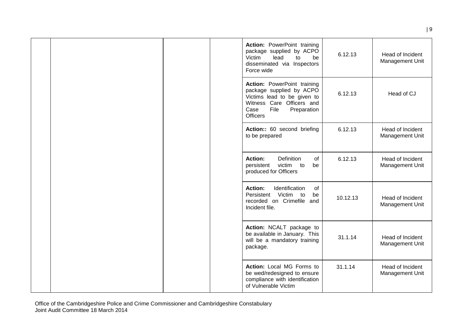|  |  | Action: PowerPoint training<br>package supplied by ACPO<br>Victim<br>lead<br>to<br>be<br>disseminated via Inspectors<br>Force wide                                    | 6.12.13  | Head of Incident<br>Management Unit |
|--|--|-----------------------------------------------------------------------------------------------------------------------------------------------------------------------|----------|-------------------------------------|
|  |  | Action: PowerPoint training<br>package supplied by ACPO<br>Victims lead to be given to<br>Witness Care Officers and<br>File<br>Case<br>Preparation<br><b>Officers</b> | 6.12.13  | Head of CJ                          |
|  |  | Action:: 60 second briefing<br>to be prepared                                                                                                                         | 6.12.13  | Head of Incident<br>Management Unit |
|  |  | <b>Action:</b><br><b>Definition</b><br>of<br>persistent<br>victim to<br>be<br>produced for Officers                                                                   | 6.12.13  | Head of Incident<br>Management Unit |
|  |  | Identification<br>Action:<br>of<br>Persistent<br>Victim to<br>be<br>recorded on Crimefile and<br>Incident file.                                                       | 10.12.13 | Head of Incident<br>Management Unit |
|  |  | Action: NCALT package to<br>be available in January. This<br>will be a mandatory training<br>package.                                                                 | 31.1.14  | Head of Incident<br>Management Unit |
|  |  | Action: Local MG Forms to<br>be wed/redesigned to ensure<br>compliance with identification<br>of Vulnerable Victim                                                    | 31.1.14  | Head of Incident<br>Management Unit |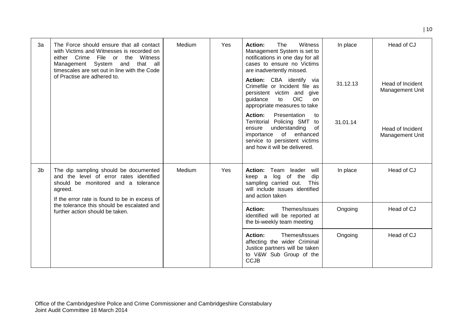| 3a | The Force should ensure that all contact<br>with Victims and Witnesses is recorded on<br>either Crime<br>File<br>Witness<br>or the<br>Management System<br>that all<br>and<br>timescales are set out in line with the Code | Medium | Yes | Action:<br>The<br>Witness<br>Management System is set to<br>notifications in one day for all<br>cases to ensure no Victims<br>are inadvertently missed.                                                | In place | Head of CJ                                 |
|----|----------------------------------------------------------------------------------------------------------------------------------------------------------------------------------------------------------------------------|--------|-----|--------------------------------------------------------------------------------------------------------------------------------------------------------------------------------------------------------|----------|--------------------------------------------|
|    | of Practise are adhered to.                                                                                                                                                                                                |        |     | Action: CBA identify via<br>Crimefile or Incident file as<br>persistent victim and give<br><b>OIC</b><br>guidance<br>to<br>on.<br>appropriate measures to take                                         | 31.12.13 | Head of Incident<br><b>Management Unit</b> |
|    |                                                                                                                                                                                                                            |        |     | <b>Action:</b><br>Presentation<br>to<br>Territorial Policing SMT<br>to<br>understanding<br>0f<br>ensure<br>of enhanced<br>importance<br>service to persistent victims<br>and how it will be delivered. | 31.01.14 | Head of Incident<br>Management Unit        |
| 3b | The dip sampling should be documented<br>and the level of error rates identified<br>should be monitored and a tolerance<br>agreed.<br>If the error rate is found to be in excess of                                        | Medium | Yes | Action: Team leader<br>will<br>log of the<br>dip<br>keep a<br>sampling carried out. This<br>will include issues identified<br>and action taken                                                         | In place | Head of CJ                                 |
|    | the tolerance this should be escalated and<br>further action should be taken.                                                                                                                                              |        |     | Action:<br>Themes/issues<br>identified will be reported at<br>the bi-weekly team meeting                                                                                                               | Ongoing  | Head of CJ                                 |
|    |                                                                                                                                                                                                                            |        |     | <b>Action:</b><br>Themes/Issues<br>affecting the wider Criminal<br>Justice partners will be taken<br>to V&W Sub Group of the<br><b>CCJB</b>                                                            | Ongoing  | Head of CJ                                 |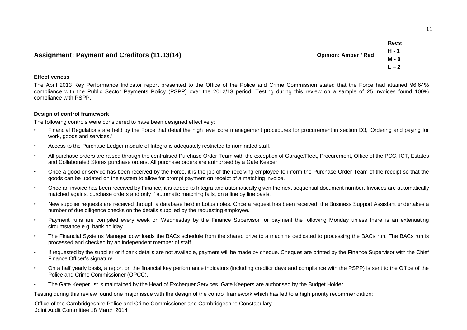| $M - 0$<br>$L - 2$ | Assignment: Payment and Creditors (11.13/14) | <b>Opinion: Amber / Red</b> | Recs:<br>$H - 1$ |
|--------------------|----------------------------------------------|-----------------------------|------------------|
|--------------------|----------------------------------------------|-----------------------------|------------------|

#### **Effectiveness**

The April 2013 Key Performance Indicator report presented to the Office of the Police and Crime Commission stated that the Force had attained 96.64% compliance with the Public Sector Payments Policy (PSPP) over the 2012/13 period. Testing during this review on a sample of 25 invoices found 100% compliance with PSPP.

### **Design of control framework**

The following controls were considered to have been designed effectively:

- Financial Regulations are held by the Force that detail the high level core management procedures for procurement in section D3, 'Ordering and paying for work, goods and services.'
- Access to the Purchase Ledger module of Integra is adequately restricted to nominated staff.
- All purchase orders are raised through the centralised Purchase Order Team with the exception of Garage/Fleet, Procurement, Office of the PCC, ICT, Estates and Collaborated Stores purchase orders. All purchase orders are authorised by a Gate Keeper.
- Once a good or service has been received by the Force, it is the job of the receiving employee to inform the Purchase Order Team of the receipt so that the goods can be updated on the system to allow for prompt payment on receipt of a matching invoice.
- Once an invoice has been received by Finance, it is added to Integra and automatically given the next sequential document number. Invoices are automatically matched against purchase orders and only if automatic matching fails, on a line by line basis.
- New supplier requests are received through a database held in Lotus notes. Once a request has been received, the Business Support Assistant undertakes a number of due diligence checks on the details supplied by the requesting employee.
- Payment runs are compiled every week on Wednesday by the Finance Supervisor for payment the following Monday unless there is an extenuating circumstance e.g. bank holiday.
- The Financial Systems Manager downloads the BACs schedule from the shared drive to a machine dedicated to processing the BACs run. The BACs run is processed and checked by an independent member of staff.
- If requested by the supplier or if bank details are not available, payment will be made by cheque. Cheques are printed by the Finance Supervisor with the Chief Finance Officer's signature.
- On a half yearly basis, a report on the financial key performance indicators (including creditor days and compliance with the PSPP) is sent to the Office of the Police and Crime Commissioner (OPCC).
- The Gate Keeper list is maintained by the Head of Exchequer Services. Gate Keepers are authorised by the Budget Holder.

Testing during this review found one major issue with the design of the control framework which has led to a high priority recommendation;